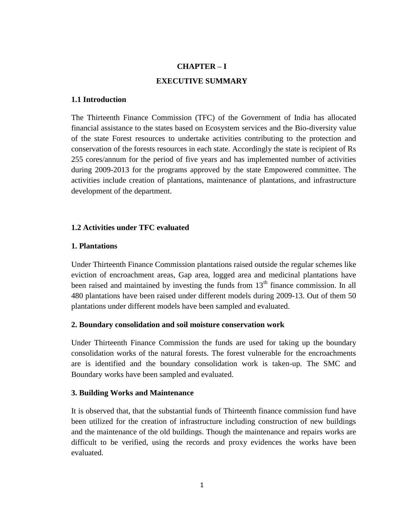# **CHAPTER – I EXECUTIVE SUMMARY**

### **1.1 Introduction**

The Thirteenth Finance Commission (TFC) of the Government of India has allocated financial assistance to the states based on Ecosystem services and the Bio-diversity value of the state Forest resources to undertake activities contributing to the protection and conservation of the forests resources in each state. Accordingly the state is recipient of Rs 255 cores/annum for the period of five years and has implemented number of activities during 2009-2013 for the programs approved by the state Empowered committee. The activities include creation of plantations, maintenance of plantations, and infrastructure development of the department.

### **1.2 Activities under TFC evaluated**

### **1. Plantations**

Under Thirteenth Finance Commission plantations raised outside the regular schemes like eviction of encroachment areas, Gap area, logged area and medicinal plantations have been raised and maintained by investing the funds from  $13<sup>th</sup>$  finance commission. In all 480 plantations have been raised under different models during 2009-13. Out of them 50 plantations under different models have been sampled and evaluated.

### **2. Boundary consolidation and soil moisture conservation work**

Under Thirteenth Finance Commission the funds are used for taking up the boundary consolidation works of the natural forests. The forest vulnerable for the encroachments are is identified and the boundary consolidation work is taken-up. The SMC and Boundary works have been sampled and evaluated.

#### **3. Building Works and Maintenance**

It is observed that, that the substantial funds of Thirteenth finance commission fund have been utilized for the creation of infrastructure including construction of new buildings and the maintenance of the old buildings. Though the maintenance and repairs works are difficult to be verified, using the records and proxy evidences the works have been evaluated.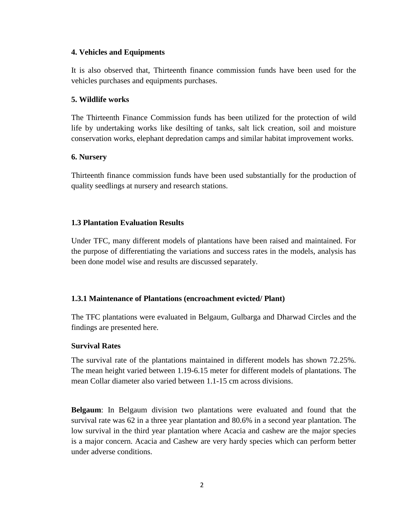### **4. Vehicles and Equipments**

It is also observed that, Thirteenth finance commission funds have been used for the vehicles purchases and equipments purchases.

### **5. Wildlife works**

The Thirteenth Finance Commission funds has been utilized for the protection of wild life by undertaking works like desilting of tanks, salt lick creation, soil and moisture conservation works, elephant depredation camps and similar habitat improvement works.

### **6. Nursery**

Thirteenth finance commission funds have been used substantially for the production of quality seedlings at nursery and research stations.

### **1.3 Plantation Evaluation Results**

Under TFC, many different models of plantations have been raised and maintained. For the purpose of differentiating the variations and success rates in the models, analysis has been done model wise and results are discussed separately.

### **1.3.1 Maintenance of Plantations (encroachment evicted/ Plant)**

The TFC plantations were evaluated in Belgaum, Gulbarga and Dharwad Circles and the findings are presented here.

### **Survival Rates**

The survival rate of the plantations maintained in different models has shown 72.25%. The mean height varied between 1.19-6.15 meter for different models of plantations. The mean Collar diameter also varied between 1.1-15 cm across divisions.

**Belgaum**: In Belgaum division two plantations were evaluated and found that the survival rate was 62 in a three year plantation and 80.6% in a second year plantation. The low survival in the third year plantation where Acacia and cashew are the major species is a major concern. Acacia and Cashew are very hardy species which can perform better under adverse conditions.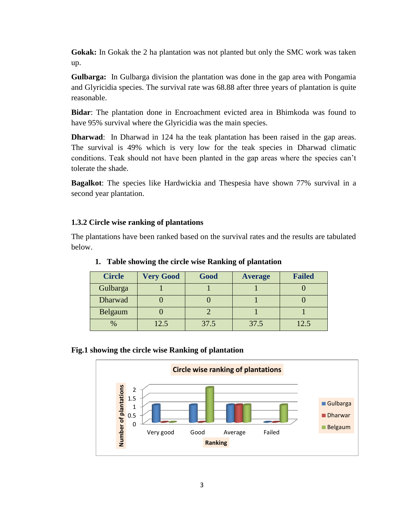**Gokak:** In Gokak the 2 ha plantation was not planted but only the SMC work was taken up.

**Gulbarga:** In Gulbarga division the plantation was done in the gap area with Pongamia and Glyricidia species. The survival rate was 68.88 after three years of plantation is quite reasonable.

**Bidar**: The plantation done in Encroachment evicted area in Bhimkoda was found to have 95% survival where the Glyricidia was the main species.

**Dharwad**: In Dharwad in 124 ha the teak plantation has been raised in the gap areas. The survival is 49% which is very low for the teak species in Dharwad climatic conditions. Teak should not have been planted in the gap areas where the species can't tolerate the shade.

**Bagalkot**: The species like Hardwickia and Thespesia have shown 77% survival in a second year plantation.

### **1.3.2 Circle wise ranking of plantations**

The plantations have been ranked based on the survival rates and the results are tabulated below.

| <b>Circle</b> | <b>Very Good</b> | Good | <b>Average</b> | <b>Failed</b> |
|---------------|------------------|------|----------------|---------------|
| Gulbarga      |                  |      |                |               |
| Dharwad       |                  |      |                |               |
| Belgaum       |                  |      |                |               |
| $\%$          | 12.5             | 37.5 | 37.5           | 12.5          |

### **1. Table showing the circle wise Ranking of plantation**

### **Fig.1 showing the circle wise Ranking of plantation**

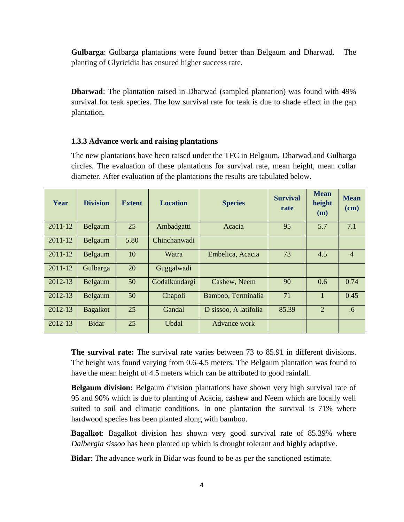**Gulbarga**: Gulbarga plantations were found better than Belgaum and Dharwad. The planting of Glyricidia has ensured higher success rate.

**Dharwad**: The plantation raised in Dharwad (sampled plantation) was found with 49% survival for teak species. The low survival rate for teak is due to shade effect in the gap plantation.

#### **1.3.3 Advance work and raising plantations**

The new plantations have been raised under the TFC in Belgaum, Dharwad and Gulbarga circles. The evaluation of these plantations for survival rate, mean height, mean collar diameter. After evaluation of the plantations the results are tabulated below.

| Year    | <b>Division</b> | <b>Extent</b> | <b>Location</b> | <b>Species</b>        | <b>Survival</b><br>rate | <b>Mean</b><br>height<br>(m) | <b>Mean</b><br>$(cm)$ |
|---------|-----------------|---------------|-----------------|-----------------------|-------------------------|------------------------------|-----------------------|
| 2011-12 | Belgaum         | 25            | Ambadgatti      | Acacia                | 95                      | 5.7                          | 7.1                   |
| 2011-12 | Belgaum         | 5.80          | Chinchanwadi    |                       |                         |                              |                       |
| 2011-12 | Belgaum         | 10            | Watra           | Embelica, Acacia      | 73                      | 4.5                          | $\overline{4}$        |
| 2011-12 | Gulbarga        | 20            | Guggalwadi      |                       |                         |                              |                       |
| 2012-13 | Belgaum         | 50            | Godalkundargi   | Cashew, Neem          | 90                      | 0.6                          | 0.74                  |
| 2012-13 | Belgaum         | 50            | Chapoli         | Bamboo, Terminalia    | 71                      | $\mathbf{1}$                 | 0.45                  |
| 2012-13 | <b>Bagalkot</b> | 25            | Gandal          | D sissoo, A latifolia | 85.39                   | $\overline{2}$               | .6                    |
| 2012-13 | <b>Bidar</b>    | 25            | <b>Ubdal</b>    | Advance work          |                         |                              |                       |

**The survival rate:** The survival rate varies between 73 to 85.91 in different divisions. The height was found varying from 0.6-4.5 meters. The Belgaum plantation was found to have the mean height of 4.5 meters which can be attributed to good rainfall.

**Belgaum division:** Belgaum division plantations have shown very high survival rate of 95 and 90% which is due to planting of Acacia, cashew and Neem which are locally well suited to soil and climatic conditions. In one plantation the survival is 71% where hardwood species has been planted along with bamboo.

**Bagalkot**: Bagalkot division has shown very good survival rate of 85.39% where *Dalbergia sissoo* has been planted up which is drought tolerant and highly adaptive.

**Bidar**: The advance work in Bidar was found to be as per the sanctioned estimate.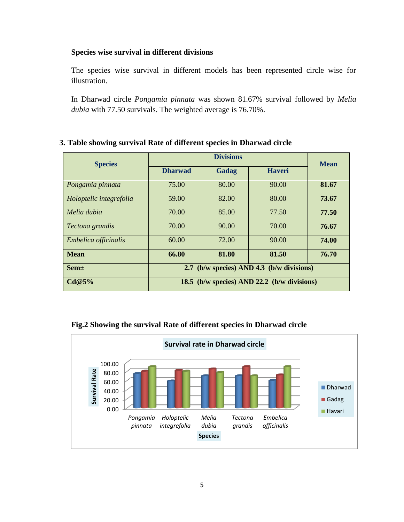### **Species wise survival in different divisions**

The species wise survival in different models has been represented circle wise for illustration.

In Dharwad circle *Pongamia pinnata* was shown 81.67% survival followed by *Melia dubia* with 77.50 survivals. The weighted average is 76.70%.

## **Species Divisions Mean Dharwad Gadag Haveri** *Pongamia pinnata*  $\vert$  75.00  $\vert$  80.00  $\vert$  90.00  $\vert$  **81.67** *Holoptelic integrefolia* 59.00 82.00 80.00 73.67 *Melia dubia* 1 70.00 85.00 77.50 77.50 *Tectona grandis* 70.00 90.00 70.00 **76.67** *Embelica officinalis* 60.00 72.00 90.00 **74.00 Mean 66.80 81.80 81.50 76.70 Sem± 2.7 (b/w species) AND 4.3 (b/w divisions) Cd@5% 18.5 (b/w species) AND 22.2 (b/w divisions)**

### **3. Table showing survival Rate of different species in Dharwad circle**



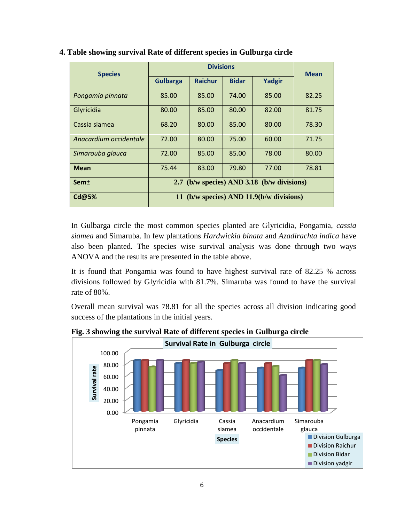| <b>Species</b>         |                                            | <b>Divisions</b> |              |        |             |  |  |
|------------------------|--------------------------------------------|------------------|--------------|--------|-------------|--|--|
|                        | <b>Gulbarga</b>                            | <b>Raichur</b>   | <b>Bidar</b> | Yadgir | <b>Mean</b> |  |  |
| Pongamia pinnata       | 85.00                                      | 85.00            | 74.00        | 85.00  | 82.25       |  |  |
| Glyricidia             | 80.00                                      | 85.00            | 80.00        | 82.00  | 81.75       |  |  |
| Cassia siamea          | 68.20                                      | 80.00            | 85.00        | 80.00  | 78.30       |  |  |
| Anacardium occidentale | 72.00                                      | 80.00            | 75.00        | 60.00  | 71.75       |  |  |
| Simarouba glauca       | 72.00                                      | 85.00            | 85.00        | 78.00  | 80.00       |  |  |
| <b>Mean</b>            | 75.44                                      | 83.00            | 79.80        | 77.00  | 78.81       |  |  |
| Sem±                   | 2.7 (b/w species) AND 3.18 (b/w divisions) |                  |              |        |             |  |  |
| <b>Cd@5%</b>           | 11 (b/w species) AND 11.9(b/w divisions)   |                  |              |        |             |  |  |

### **4. Table showing survival Rate of different species in Gulburga circle**

In Gulbarga circle the most common species planted are Glyricidia, Pongamia, *cassia siamea* and Simaruba. In few plantations *Hardwickia binata* and *Azadirachta indica* have also been planted. The species wise survival analysis was done through two ways ANOVA and the results are presented in the table above.

It is found that Pongamia was found to have highest survival rate of 82.25 % across divisions followed by Glyricidia with 81.7%. Simaruba was found to have the survival rate of 80%.

Overall mean survival was 78.81 for all the species across all division indicating good success of the plantations in the initial years.



**Fig. 3 showing the survival Rate of different species in Gulburga circle**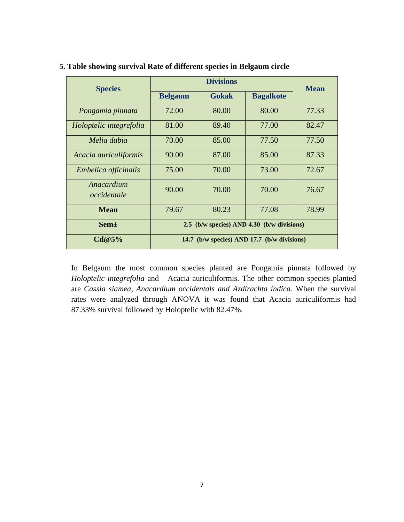| <b>Species</b>            |                                             | <b>Mean</b>  |                  |       |  |  |
|---------------------------|---------------------------------------------|--------------|------------------|-------|--|--|
|                           | <b>Belgaum</b>                              | <b>Gokak</b> | <b>Bagalkote</b> |       |  |  |
| Pongamia pinnata          | 72.00                                       | 80.00        | 80.00            | 77.33 |  |  |
| Holoptelic integrefolia   | 81.00                                       | 89.40        | 77.00            | 82.47 |  |  |
| Melia dubia               | 70.00                                       | 85.00        | 77.50            | 77.50 |  |  |
| Acacia auriculiformis     | 90.00                                       | 87.00        | 85.00            | 87.33 |  |  |
| Embelica officinalis      | 75.00                                       | 70.00        | 73.00            | 72.67 |  |  |
| Anacardium<br>occidentale | 90.00                                       | 70.00        | 70.00            | 76.67 |  |  |
| <b>Mean</b>               | 79.67                                       | 80.23        | 77.08            | 78.99 |  |  |
| Sem <sup>+</sup>          | 2.5 (b/w species) AND 4.30 (b/w divisions)  |              |                  |       |  |  |
| Cd@5%                     | 14.7 (b/w species) AND 17.7 (b/w divisions) |              |                  |       |  |  |

### **5. Table showing survival Rate of different species in Belgaum circle**

In Belgaum the most common species planted are Pongamia pinnata followed by *Holoptelic integrefolia* and Acacia auriculiformis. The other common species planted are *Cassia siamea, Anacardium occidentals and Azdirachta indica*. When the survival rates were analyzed through ANOVA it was found that Acacia auriculiformis had 87.33% survival followed by Holoptelic with 82.47%.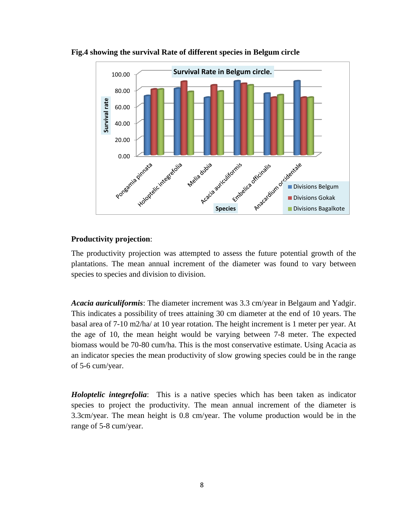

**Fig.4 showing the survival Rate of different species in Belgum circle**

### **Productivity projection**:

The productivity projection was attempted to assess the future potential growth of the plantations. The mean annual increment of the diameter was found to vary between species to species and division to division.

*Acacia auriculiformis*: The diameter increment was 3.3 cm/year in Belgaum and Yadgir. This indicates a possibility of trees attaining 30 cm diameter at the end of 10 years. The basal area of 7-10 m2/ha/ at 10 year rotation. The height increment is 1 meter per year. At the age of 10, the mean height would be varying between 7-8 meter. The expected biomass would be 70-80 cum/ha. This is the most conservative estimate. Using Acacia as an indicator species the mean productivity of slow growing species could be in the range of 5-6 cum/year.

*Holoptelic integrefolia*: This is a native species which has been taken as indicator species to project the productivity. The mean annual increment of the diameter is 3.3cm/year. The mean height is 0.8 cm/year. The volume production would be in the range of 5-8 cum/year.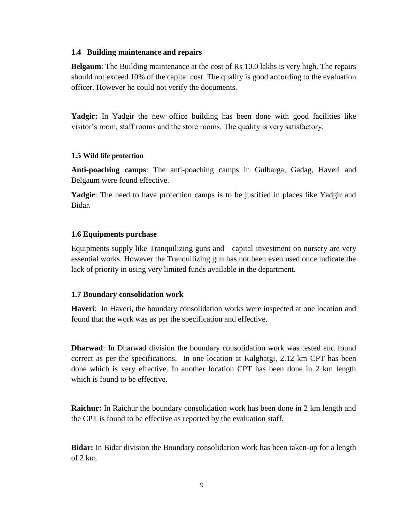#### **1.4 Building maintenance and repairs**

**Belgaum**: The Building maintenance at the cost of Rs 10.0 lakhs is very high. The repairs should not exceed 10% of the capital cost. The quality is good according to the evaluation officer. However he could not verify the documents.

**Yadgir:** In Yadgir the new office building has been done with good facilities like visitor's room, staff rooms and the store rooms. The quality is very satisfactory.

### **1.5 Wild life protection**

**Anti-poaching camps**: The anti-poaching camps in Gulbarga, Gadag, Haveri and Belgaum were found effective.

**Yadgir**: The need to have protection camps is to be justified in places like Yadgir and Bidar.

### **1.6 Equipments purchase**

Equipments supply like Tranquilizing guns and capital investment on nursery are very essential works. However the Tranquilizing gun has not been even used once indicate the lack of priority in using very limited funds available in the department.

### **1.7 Boundary consolidation work**

**Haveri**: In Haveri, the boundary consolidation works were inspected at one location and found that the work was as per the specification and effective.

**Dharwad**: In Dharwad division the boundary consolidation work was tested and found correct as per the specifications. In one location at Kalghatgi, 2.12 km CPT has been done which is very effective. In another location CPT has been done in 2 km length which is found to be effective.

**Raichur:** In Raichur the boundary consolidation work has been done in 2 km length and the CPT is found to be effective as reported by the evaluation staff.

**Bidar:** In Bidar division the Boundary consolidation work has been taken-up for a length of 2 km.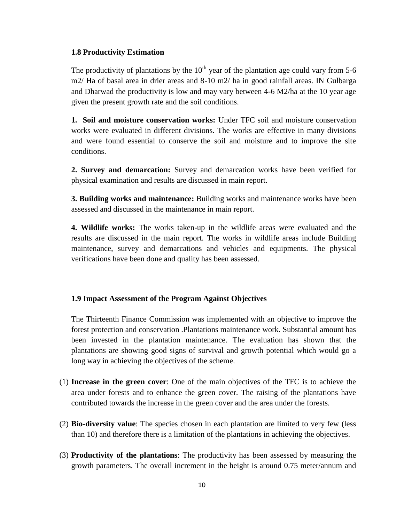### **1.8 Productivity Estimation**

The productivity of plantations by the  $10<sup>th</sup>$  year of the plantation age could vary from 5-6 m2/ Ha of basal area in drier areas and 8-10 m2/ ha in good rainfall areas. IN Gulbarga and Dharwad the productivity is low and may vary between 4-6 M2/ha at the 10 year age given the present growth rate and the soil conditions.

**1. Soil and moisture conservation works:** Under TFC soil and moisture conservation works were evaluated in different divisions. The works are effective in many divisions and were found essential to conserve the soil and moisture and to improve the site conditions.

**2. Survey and demarcation:** Survey and demarcation works have been verified for physical examination and results are discussed in main report.

**3. Building works and maintenance:** Building works and maintenance works have been assessed and discussed in the maintenance in main report.

**4. Wildlife works:** The works taken-up in the wildlife areas were evaluated and the results are discussed in the main report. The works in wildlife areas include Building maintenance, survey and demarcations and vehicles and equipments. The physical verifications have been done and quality has been assessed.

### **1.9 Impact Assessment of the Program Against Objectives**

The Thirteenth Finance Commission was implemented with an objective to improve the forest protection and conservation .Plantations maintenance work. Substantial amount has been invested in the plantation maintenance. The evaluation has shown that the plantations are showing good signs of survival and growth potential which would go a long way in achieving the objectives of the scheme.

- (1) **Increase in the green cover**: One of the main objectives of the TFC is to achieve the area under forests and to enhance the green cover. The raising of the plantations have contributed towards the increase in the green cover and the area under the forests.
- (2) **Bio-diversity value**: The species chosen in each plantation are limited to very few (less than 10) and therefore there is a limitation of the plantations in achieving the objectives.
- (3) **Productivity of the plantations**: The productivity has been assessed by measuring the growth parameters. The overall increment in the height is around 0.75 meter/annum and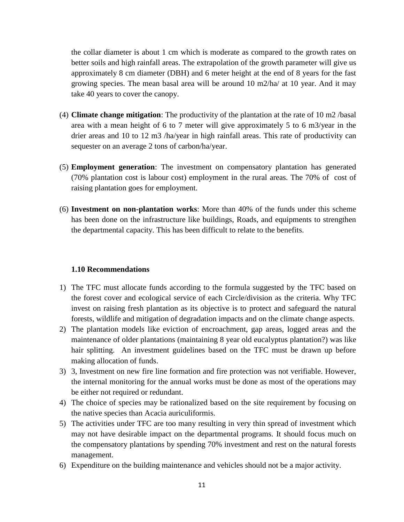the collar diameter is about 1 cm which is moderate as compared to the growth rates on better soils and high rainfall areas. The extrapolation of the growth parameter will give us approximately 8 cm diameter (DBH) and 6 meter height at the end of 8 years for the fast growing species. The mean basal area will be around 10 m2/ha/ at 10 year. And it may take 40 years to cover the canopy.

- (4) **Climate change mitigation**: The productivity of the plantation at the rate of 10 m2 /basal area with a mean height of 6 to 7 meter will give approximately 5 to 6 m3/year in the drier areas and 10 to 12 m3 /ha/year in high rainfall areas. This rate of productivity can sequester on an average 2 tons of carbon/ha/year.
- (5) **Employment generation**: The investment on compensatory plantation has generated (70% plantation cost is labour cost) employment in the rural areas. The 70% of cost of raising plantation goes for employment.
- (6) **Investment on non-plantation works**: More than 40% of the funds under this scheme has been done on the infrastructure like buildings, Roads, and equipments to strengthen the departmental capacity. This has been difficult to relate to the benefits.

### **1.10 Recommendations**

- 1) The TFC must allocate funds according to the formula suggested by the TFC based on the forest cover and ecological service of each Circle/division as the criteria. Why TFC invest on raising fresh plantation as its objective is to protect and safeguard the natural forests, wildlife and mitigation of degradation impacts and on the climate change aspects.
- 2) The plantation models like eviction of encroachment, gap areas, logged areas and the maintenance of older plantations (maintaining 8 year old eucalyptus plantation?) was like hair splitting. An investment guidelines based on the TFC must be drawn up before making allocation of funds.
- 3) 3, Investment on new fire line formation and fire protection was not verifiable. However, the internal monitoring for the annual works must be done as most of the operations may be either not required or redundant.
- 4) The choice of species may be rationalized based on the site requirement by focusing on the native species than Acacia auriculiformis.
- 5) The activities under TFC are too many resulting in very thin spread of investment which may not have desirable impact on the departmental programs. It should focus much on the compensatory plantations by spending 70% investment and rest on the natural forests management.
- 6) Expenditure on the building maintenance and vehicles should not be a major activity.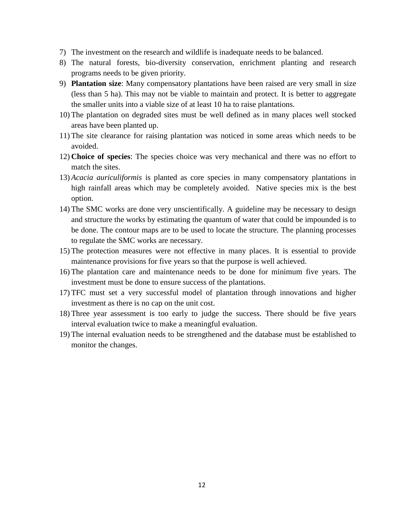- 7) The investment on the research and wildlife is inadequate needs to be balanced.
- 8) The natural forests, bio-diversity conservation, enrichment planting and research programs needs to be given priority.
- 9) **Plantation size**: Many compensatory plantations have been raised are very small in size (less than 5 ha). This may not be viable to maintain and protect. It is better to aggregate the smaller units into a viable size of at least 10 ha to raise plantations.
- 10) The plantation on degraded sites must be well defined as in many places well stocked areas have been planted up.
- 11) The site clearance for raising plantation was noticed in some areas which needs to be avoided.
- 12) **Choice of species**: The species choice was very mechanical and there was no effort to match the sites.
- 13) *Acacia auriculiformis* is planted as core species in many compensatory plantations in high rainfall areas which may be completely avoided. Native species mix is the best option.
- 14) The SMC works are done very unscientifically. A guideline may be necessary to design and structure the works by estimating the quantum of water that could be impounded is to be done. The contour maps are to be used to locate the structure. The planning processes to regulate the SMC works are necessary.
- 15) The protection measures were not effective in many places. It is essential to provide maintenance provisions for five years so that the purpose is well achieved.
- 16) The plantation care and maintenance needs to be done for minimum five years. The investment must be done to ensure success of the plantations.
- 17) TFC must set a very successful model of plantation through innovations and higher investment as there is no cap on the unit cost.
- 18) Three year assessment is too early to judge the success. There should be five years interval evaluation twice to make a meaningful evaluation.
- 19) The internal evaluation needs to be strengthened and the database must be established to monitor the changes.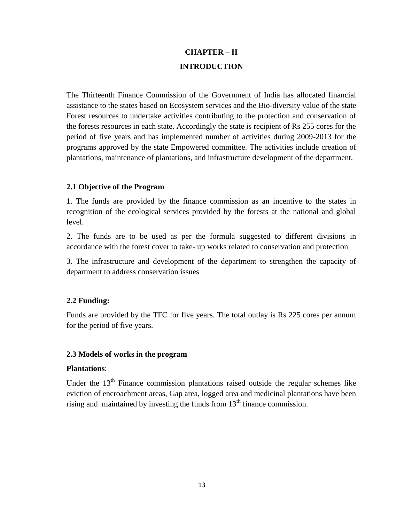## **CHAPTER – II INTRODUCTION**

The Thirteenth Finance Commission of the Government of India has allocated financial assistance to the states based on Ecosystem services and the Bio-diversity value of the state Forest resources to undertake activities contributing to the protection and conservation of the forests resources in each state. Accordingly the state is recipient of Rs 255 cores for the period of five years and has implemented number of activities during 2009-2013 for the programs approved by the state Empowered committee. The activities include creation of plantations, maintenance of plantations, and infrastructure development of the department.

### **2.1 Objective of the Program**

1. The funds are provided by the finance commission as an incentive to the states in recognition of the ecological services provided by the forests at the national and global level.

2. The funds are to be used as per the formula suggested to different divisions in accordance with the forest cover to take- up works related to conservation and protection

3. The infrastructure and development of the department to strengthen the capacity of department to address conservation issues

### **2.2 Funding:**

Funds are provided by the TFC for five years. The total outlay is Rs 225 cores per annum for the period of five years.

### **2.3 Models of works in the program**

### **Plantations**:

Under the  $13<sup>th</sup>$  Finance commission plantations raised outside the regular schemes like eviction of encroachment areas, Gap area, logged area and medicinal plantations have been rising and maintained by investing the funds from  $13<sup>th</sup>$  finance commission.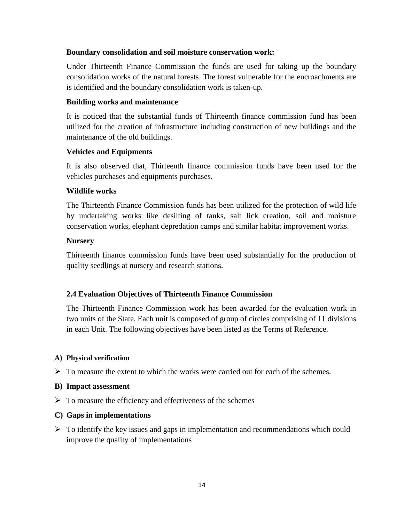### **Boundary consolidation and soil moisture conservation work:**

Under Thirteenth Finance Commission the funds are used for taking up the boundary consolidation works of the natural forests. The forest vulnerable for the encroachments are is identified and the boundary consolidation work is taken-up.

### **Building works and maintenance**

It is noticed that the substantial funds of Thirteenth finance commission fund has been utilized for the creation of infrastructure including construction of new buildings and the maintenance of the old buildings.

### **Vehicles and Equipments**

It is also observed that, Thirteenth finance commission funds have been used for the vehicles purchases and equipments purchases.

### **Wildlife works**

The Thirteenth Finance Commission funds has been utilized for the protection of wild life by undertaking works like desilting of tanks, salt lick creation, soil and moisture conservation works, elephant depredation camps and similar habitat improvement works.

### **Nursery**

Thirteenth finance commission funds have been used substantially for the production of quality seedlings at nursery and research stations.

### **2.4 Evaluation Objectives of Thirteenth Finance Commission**

The Thirteenth Finance Commission work has been awarded for the evaluation work in two units of the State. Each unit is composed of group of circles comprising of 11 divisions in each Unit. The following objectives have been listed as the Terms of Reference.

### **A) Physical verification**

 $\triangleright$  To measure the extent to which the works were carried out for each of the schemes.

### **B) Impact assessment**

 $\triangleright$  To measure the efficiency and effectiveness of the schemes

### **C) Gaps in implementations**

 $\triangleright$  To identify the key issues and gaps in implementation and recommendations which could improve the quality of implementations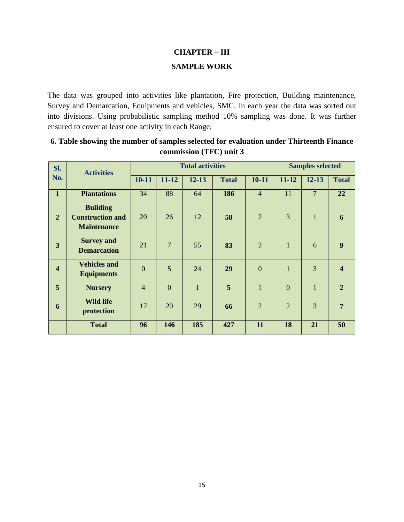# **CHAPTER – III SAMPLE WORK**

The data was grouped into activities like plantation, Fire protection, Building maintenance, Survey and Demarcation, Equipments and vehicles, SMC. In each year the data was sorted out into divisions. Using probabilistic sampling method 10% sampling was done. It was further ensured to cover at least one activity in each Range.

| Sl.                     | <b>Activities</b>                                                |                |                | <b>Total activities</b> |              |                | <b>Samples selected</b> |                |                         |
|-------------------------|------------------------------------------------------------------|----------------|----------------|-------------------------|--------------|----------------|-------------------------|----------------|-------------------------|
| No.                     |                                                                  | $10 - 11$      | $11 - 12$      | $12 - 13$               | <b>Total</b> | $10 - 11$      | $11 - 12$               | $12 - 13$      | <b>Total</b>            |
| $\mathbf{1}$            | <b>Plantations</b>                                               | 34             | 88             | 64                      | 186          | $\overline{4}$ | 11                      | $\overline{7}$ | 22                      |
| $\overline{2}$          | <b>Building</b><br><b>Construction and</b><br><b>Maintenance</b> | 20             | 26             | 12                      | 58           | $\overline{2}$ | 3                       | $\mathbf{1}$   | 6                       |
| 3                       | <b>Survey and</b><br><b>Demarcation</b>                          | 21             | $\overline{7}$ | 55                      | 83           | $\overline{2}$ | $\mathbf{1}$            | 6              | 9                       |
| $\overline{\mathbf{4}}$ | <b>Vehicles and</b><br><b>Equipments</b>                         | $\overline{0}$ | 5              | 24                      | 29           | $\overline{0}$ | $\mathbf{1}$            | 3              | $\overline{\mathbf{4}}$ |
| 5                       | <b>Nursery</b>                                                   | $\overline{4}$ | $\overline{0}$ | $\mathbf{1}$            | 5            | $\mathbf{1}$   | $\overline{0}$          | $\mathbf{1}$   | $\overline{2}$          |
| 6                       | <b>Wild life</b><br>protection                                   | 17             | 20             | 29                      | 66           | $\overline{2}$ | $\overline{2}$          | 3              | $\overline{7}$          |
|                         | <b>Total</b>                                                     | 96             | 146            | 185                     | 427          | 11             | 18                      | 21             | 50                      |

**6. Table showing the number of samples selected for evaluation under Thirteenth Finance commission (TFC) unit 3**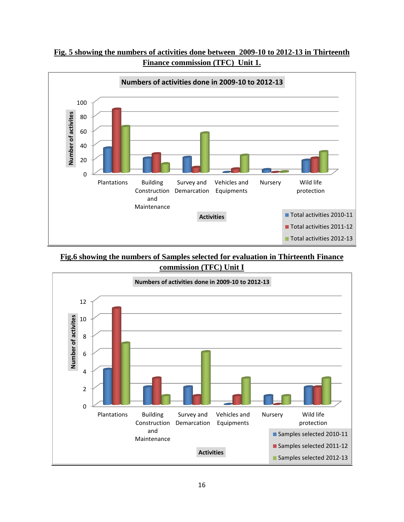



**Fig.6 showing the numbers of Samples selected for evaluation in Thirteenth Finance commission (TFC) Unit I**

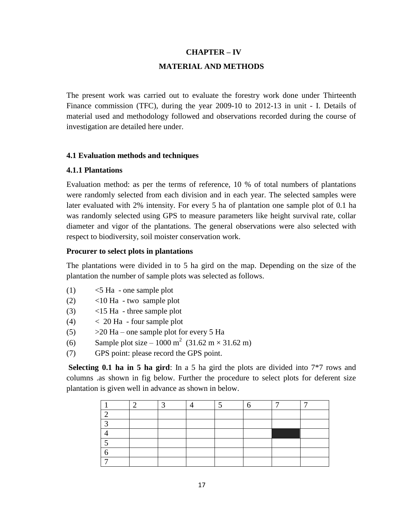### **CHAPTER – IV**

#### **MATERIAL AND METHODS**

The present work was carried out to evaluate the forestry work done under Thirteenth Finance commission (TFC), during the year 2009-10 to 2012-13 in unit - I. Details of material used and methodology followed and observations recorded during the course of investigation are detailed here under.

#### **4.1 Evaluation methods and techniques**

#### **4.1.1 Plantations**

Evaluation method: as per the terms of reference, 10 % of total numbers of plantations were randomly selected from each division and in each year. The selected samples were later evaluated with 2% intensity. For every 5 ha of plantation one sample plot of 0.1 ha was randomly selected using GPS to measure parameters like height survival rate, collar diameter and vigor of the plantations. The general observations were also selected with respect to biodiversity, soil moister conservation work.

#### **Procurer to select plots in plantations**

The plantations were divided in to 5 ha gird on the map. Depending on the size of the plantation the number of sample plots was selected as follows.

- $(1)$   $\leq$  5 Ha one sample plot
- (2) <10 Ha two sample plot
- (3) <15 Ha three sample plot
- $(4)$   $<$  20 Ha four sample plot
- $(5)$   $>20$  Ha one sample plot for every 5 Ha
- (6) Sample plot size 1000 m<sup>2</sup> (31.62 m × 31.62 m)
- (7) GPS point: please record the GPS point.

**Selecting 0.1 ha in 5 ha gird**: In a 5 ha gird the plots are divided into 7\*7 rows and columns .as shown in fig below. Further the procedure to select plots for deferent size plantation is given well in advance as shown in below.

|            |  |  | n | − |
|------------|--|--|---|---|
|            |  |  |   |   |
| $\sqrt{2}$ |  |  |   |   |
|            |  |  |   |   |
|            |  |  |   |   |
|            |  |  |   |   |
|            |  |  |   |   |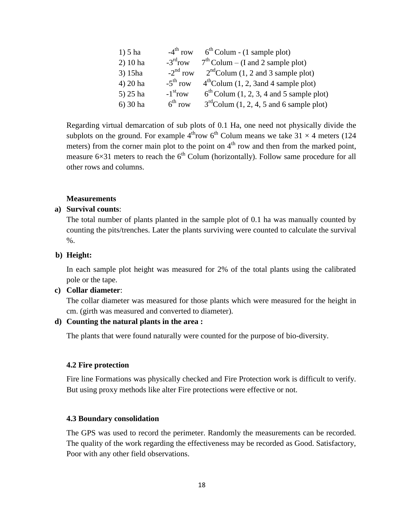| $1) 5$ ha  | $-4^{\text{th}}$ row   | $6th$ Colum - (1 sample plot)              |
|------------|------------------------|--------------------------------------------|
| $2)$ 10 ha | $-3^{\text{rd}}$ row   | $7th$ Colum – (I and 2 sample plot)        |
| 3) 15ha    | $-2^{\text{nd}}$ row   | $2nd$ Colum (1, 2 and 3 sample plot)       |
| $4) 20$ ha | $-5^{\text{th}}$ row   | $4th$ Colum (1, 2, 3 and 4 sample plot)    |
| $5)$ 25 ha | $-1$ <sup>st</sup> row | $6th$ Colum (1, 2, 3, 4 and 5 sample plot) |
| $6)$ 30 ha | 6 <sup>th</sup> row    | $3rd$ Colum (1, 2, 4, 5 and 6 sample plot) |

Regarding virtual demarcation of sub plots of 0.1 Ha, one need not physically divide the subplots on the ground. For example  $4^{th}$ row  $6^{th}$  Colum means we take 31  $\times$  4 meters (124 meters) from the corner main plot to the point on  $4<sup>th</sup>$  row and then from the marked point, measure  $6\times31$  meters to reach the  $6<sup>th</sup>$  Colum (horizontally). Follow same procedure for all other rows and columns.

#### **Measurements**

#### **a) Survival counts**:

The total number of plants planted in the sample plot of 0.1 ha was manually counted by counting the pits/trenches. Later the plants surviving were counted to calculate the survival  $\%$ .

#### **b) Height:**

In each sample plot height was measured for 2% of the total plants using the calibrated pole or the tape.

#### **c) Collar diameter**:

The collar diameter was measured for those plants which were measured for the height in cm. (girth was measured and converted to diameter).

#### **d) Counting the natural plants in the area :**

The plants that were found naturally were counted for the purpose of bio-diversity.

#### **4.2 Fire protection**

Fire line Formations was physically checked and Fire Protection work is difficult to verify. But using proxy methods like alter Fire protections were effective or not.

#### **4.3 Boundary consolidation**

The GPS was used to record the perimeter. Randomly the measurements can be recorded. The quality of the work regarding the effectiveness may be recorded as Good. Satisfactory, Poor with any other field observations.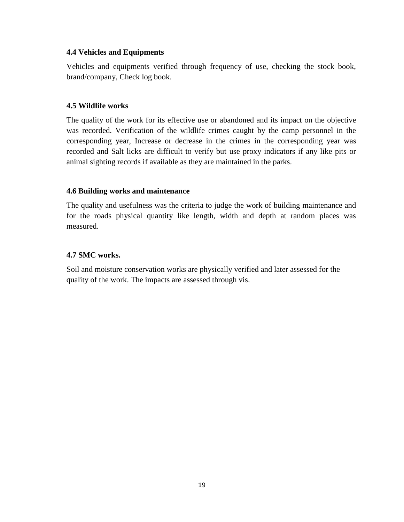### **4.4 Vehicles and Equipments**

Vehicles and equipments verified through frequency of use, checking the stock book, brand/company, Check log book.

### **4.5 Wildlife works**

The quality of the work for its effective use or abandoned and its impact on the objective was recorded. Verification of the wildlife crimes caught by the camp personnel in the corresponding year, Increase or decrease in the crimes in the corresponding year was recorded and Salt licks are difficult to verify but use proxy indicators if any like pits or animal sighting records if available as they are maintained in the parks.

### **4.6 Building works and maintenance**

The quality and usefulness was the criteria to judge the work of building maintenance and for the roads physical quantity like length, width and depth at random places was measured.

### **4.7 SMC works.**

Soil and moisture conservation works are physically verified and later assessed for the quality of the work. The impacts are assessed through vis.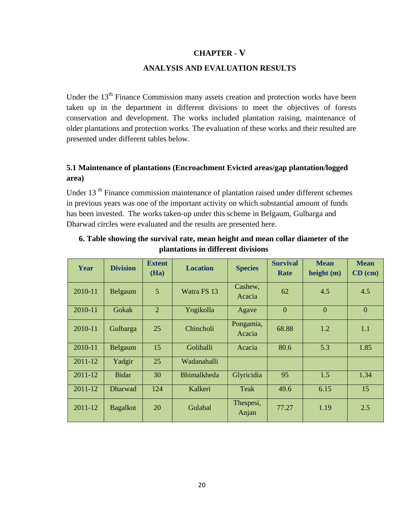### **CHAPTER - V**

#### **ANALYSIS AND EVALUATION RESULTS**

Under the 13<sup>th</sup> Finance Commission many assets creation and protection works have been taken up in the department in different divisions to meet the objectives of forests conservation and development. The works included plantation raising, maintenance of older plantations and protection works. The evaluation of these works and their resulted are presented under different tables below.

### **5.1 Maintenance of plantations (Encroachment Evicted areas/gap plantation/logged area)**

Under 13<sup>th</sup> Finance commission maintenance of plantation raised under different schemes in previous years was one of the important activity on which substantial amount of funds has been invested. The works taken-up under this scheme in Belgaum, Gulbarga and Dharwad circles were evaluated and the results are presented here.

| Year    | <b>Division</b> | <b>Extent</b><br>(Ha) | <b>Location</b>    | <b>Species</b>      | <b>Survival</b><br>Rate | <b>Mean</b><br>height $(m)$ | <b>Mean</b><br>$CD$ (cm) |
|---------|-----------------|-----------------------|--------------------|---------------------|-------------------------|-----------------------------|--------------------------|
| 2010-11 | Belgaum         | 5                     | Watra FS 13        | Cashew,<br>Acacia   | 62                      | 4.5                         | 4.5                      |
| 2010-11 | Gokak           | $\overline{2}$        | Yogikolla          | Agave               | $\overline{0}$          | $\overline{0}$              | $\overline{0}$           |
| 2010-11 | Gulbarga        | 25                    | Chincholi          | Pongamia,<br>Acacia | 68.88                   | 1.2                         | 1.1                      |
| 2010-11 | Belgaum         | 15                    | Golihalli          | Acacia              | 80.6                    | 5.3                         | 1.85                     |
| 2011-12 | Yadgir          | 25                    | Wadanahalli        |                     |                         |                             |                          |
| 2011-12 | <b>Bidar</b>    | 30                    | <b>Bhimalkheda</b> | Glyricidia          | 95                      | 1.5                         | 1.34                     |
| 2011-12 | <b>Dharwad</b>  | 124                   | Kalkeri            | Teak                | 49.6                    | 6.15                        | 15                       |
| 2011-12 | <b>Bagalkot</b> | 20                    | Gulabal            | Thespesi,<br>Anjan  | 77.27                   | 1.19                        | 2.5                      |

### **6. Table showing the survival rate, mean height and mean collar diameter of the plantations in different divisions**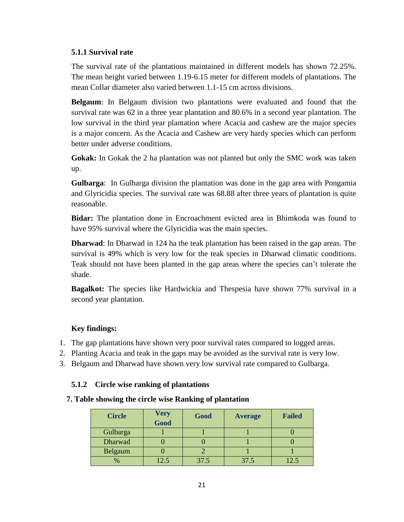### **5.1.1 Survival rate**

The survival rate of the plantations maintained in different models has shown 72.25%. The mean height varied between 1.19-6.15 meter for different models of plantations. The mean Collar diameter also varied between 1.1-15 cm across divisions.

**Belgaum**: In Belgaum division two plantations were evaluated and found that the survival rate was 62 in a three year plantation and 80.6% in a second year plantation. The low survival in the third year plantation where Acacia and cashew are the major species is a major concern. As the Acacia and Cashew are very hardy species which can perform better under adverse conditions.

**Gokak:** In Gokak the 2 ha plantation was not planted but only the SMC work was taken up.

**Gulbarga**: In Gulbarga division the plantation was done in the gap area with Pongamia and Glyricidia species. The survival rate was 68.88 after three years of plantation is quite reasonable.

**Bidar:** The plantation done in Encroachment evicted area in Bhimkoda was found to have 95% survival where the Glyricidia was the main species.

**Dharwad**: In Dharwad in 124 ha the teak plantation has been raised in the gap areas. The survival is 49% which is very low for the teak species in Dharwad climatic conditions. Teak should not have been planted in the gap areas where the species can't tolerate the shade.

**Bagalkot:** The species like Hardwickia and Thespesia have shown 77% survival in a second year plantation.

### **Key findings:**

- 1. The gap plantations have shown very poor survival rates compared to logged areas.
- 2. Planting Acacia and teak in the gaps may be avoided as the survival rate is very low.
- 3. Belgaum and Dharwad have shown very low survival rate compared to Gulbarga.

### **5.1.2 Circle wise ranking of plantations**

### **7. Table showing the circle wise Ranking of plantation**

| <b>Circle</b> | <b>Very</b><br>Good | Good | <b>Average</b> | <b>Failed</b> |
|---------------|---------------------|------|----------------|---------------|
| Gulbarga      |                     |      |                |               |
| Dharwad       |                     |      |                |               |
| Belgaum       |                     |      |                |               |
| $\%$          | 12.5                | 37.5 | 37.5           | 2.3           |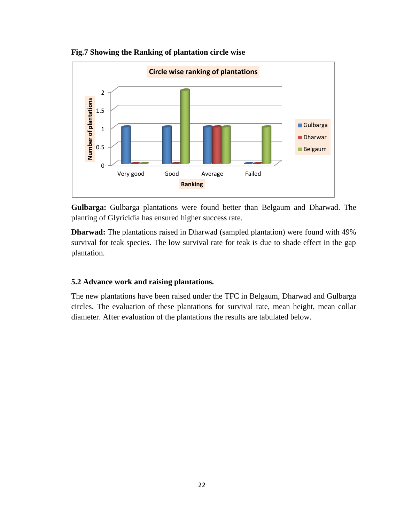

**Fig.7 Showing the Ranking of plantation circle wise**

**Gulbarga:** Gulbarga plantations were found better than Belgaum and Dharwad. The planting of Glyricidia has ensured higher success rate.

**Dharwad:** The plantations raised in Dharwad (sampled plantation) were found with 49% survival for teak species. The low survival rate for teak is due to shade effect in the gap plantation.

### **5.2 Advance work and raising plantations.**

The new plantations have been raised under the TFC in Belgaum, Dharwad and Gulbarga circles. The evaluation of these plantations for survival rate, mean height, mean collar diameter. After evaluation of the plantations the results are tabulated below.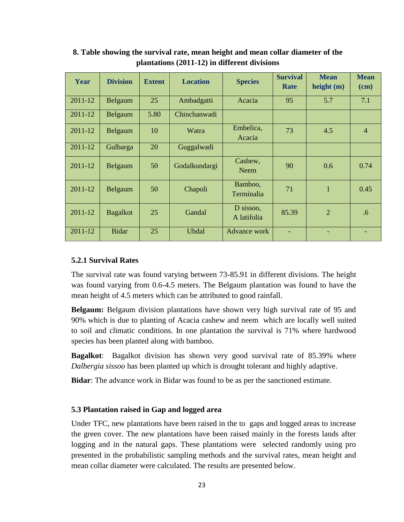| Year        | <b>Division</b> | <b>Extent</b> | <b>Location</b> | <b>Species</b>           | <b>Survival</b><br>Rate | <b>Mean</b><br>height $(m)$ | <b>Mean</b><br>$(cm)$ |
|-------------|-----------------|---------------|-----------------|--------------------------|-------------------------|-----------------------------|-----------------------|
| $2011 - 12$ | Belgaum         | 25            | Ambadgatti      | Acacia                   | 95                      | 5.7                         | 7.1                   |
| 2011-12     | Belgaum         | 5.80          | Chinchanwadi    |                          |                         |                             |                       |
| 2011-12     | Belgaum         | 10            | Watra           | Embelica,<br>Acacia      | 73                      | 4.5                         | 4                     |
| 2011-12     | Gulbarga        | 20            | Guggalwadi      |                          |                         |                             |                       |
| 2011-12     | Belgaum         | 50            | Godalkundargi   | Cashew,<br><b>Neem</b>   | 90                      | 0.6                         | 0.74                  |
| 2011-12     | Belgaum         | 50            | Chapoli         | Bamboo,<br>Terminalia    | 71                      | $\mathbf{1}$                | 0.45                  |
| 2011-12     | <b>Bagalkot</b> | 25            | Gandal          | D sissoo,<br>A latifolia | 85.39                   | $\overline{2}$              | .6                    |
| 2011-12     | <b>Bidar</b>    | 25            | <b>Ubdal</b>    | Advance work             |                         |                             |                       |

**8. Table showing the survival rate, mean height and mean collar diameter of the plantations (2011-12) in different divisions**

#### **5.2.1 Survival Rates**

The survival rate was found varying between 73-85.91 in different divisions. The height was found varying from 0.6-4.5 meters. The Belgaum plantation was found to have the mean height of 4.5 meters which can be attributed to good rainfall.

**Belgaum:** Belgaum division plantations have shown very high survival rate of 95 and 90% which is due to planting of Acacia cashew and neem which are locally well suited to soil and climatic conditions. In one plantation the survival is 71% where hardwood species has been planted along with bamboo.

**Bagalkot**: Bagalkot division has shown very good survival rate of 85.39% where *Dalbergia sissoo* has been planted up which is drought tolerant and highly adaptive.

**Bidar**: The advance work in Bidar was found to be as per the sanctioned estimate.

#### **5.3 Plantation raised in Gap and logged area**

Under TFC, new plantations have been raised in the to gaps and logged areas to increase the green cover. The new plantations have been raised mainly in the forests lands after logging and in the natural gaps. These plantations were selected randomly using pro presented in the probabilistic sampling methods and the survival rates, mean height and mean collar diameter were calculated. The results are presented below.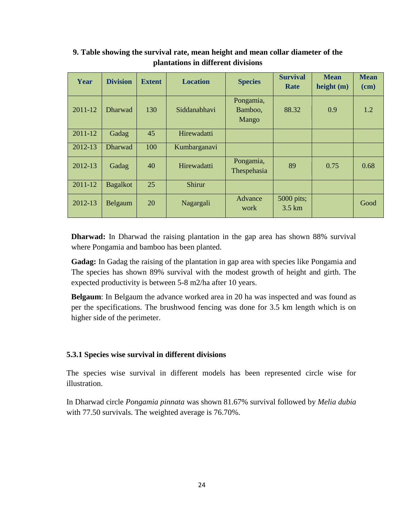| Year    | <b>Division</b> | <b>Extent</b> | <b>Location</b> | <b>Species</b>                | <b>Survival</b><br>Rate         | <b>Mean</b><br>height $(m)$ | <b>Mean</b><br>(cm) |
|---------|-----------------|---------------|-----------------|-------------------------------|---------------------------------|-----------------------------|---------------------|
| 2011-12 | <b>Dharwad</b>  | 130           | Siddanabhavi    | Pongamia,<br>Bamboo,<br>Mango | 88.32                           | 0.9                         | 1.2                 |
| 2011-12 | Gadag           | 45            | Hirewadatti     |                               |                                 |                             |                     |
| 2012-13 | Dharwad         | 100           | Kumbarganavi    |                               |                                 |                             |                     |
| 2012-13 | Gadag           | 40            | Hirewadatti     | Pongamia,<br>Thespehasia      | 89                              | 0.75                        | 0.68                |
| 2011-12 | <b>Bagalkot</b> | 25            | Shirur          |                               |                                 |                             |                     |
| 2012-13 | Belgaum         | 20            | Nagargali       | Advance<br>work               | 5000 pits;<br>$3.5 \mathrm{km}$ |                             | Good                |

### **9. Table showing the survival rate, mean height and mean collar diameter of the plantations in different divisions**

**Dharwad:** In Dharwad the raising plantation in the gap area has shown 88% survival where Pongamia and bamboo has been planted.

**Gadag:** In Gadag the raising of the plantation in gap area with species like Pongamia and The species has shown 89% survival with the modest growth of height and girth. The expected productivity is between 5-8 m2/ha after 10 years.

**Belgaum**: In Belgaum the advance worked area in 20 ha was inspected and was found as per the specifications. The brushwood fencing was done for 3.5 km length which is on higher side of the perimeter.

### **5.3.1 Species wise survival in different divisions**

The species wise survival in different models has been represented circle wise for illustration.

In Dharwad circle *Pongamia pinnata* was shown 81.67% survival followed by *Melia dubia* with 77.50 survivals. The weighted average is 76.70%.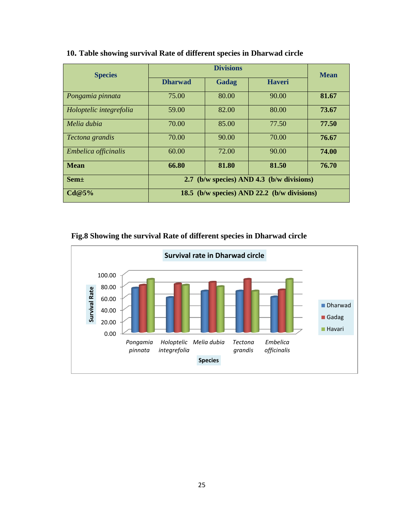| <b>Species</b>          |                                             | <b>Mean</b>  |               |       |  |  |  |
|-------------------------|---------------------------------------------|--------------|---------------|-------|--|--|--|
|                         | <b>Dharwad</b>                              | <b>Gadag</b> | <b>Haveri</b> |       |  |  |  |
| Pongamia pinnata        | 75.00                                       | 80.00        | 90.00         | 81.67 |  |  |  |
| Holoptelic integrefolia | 59.00                                       | 82.00        | 80.00         | 73.67 |  |  |  |
| Melia dubia             | 70.00                                       | 85.00        | 77.50         | 77.50 |  |  |  |
| Tectona grandis         | 70.00                                       | 90.00        | 70.00         | 76.67 |  |  |  |
| Embelica officinalis    | 60.00                                       | 72.00        | 90.00         | 74.00 |  |  |  |
| <b>Mean</b>             | 66.80                                       | 81.80        | 81.50         | 76.70 |  |  |  |
| <b>Sem</b> ±            | 2.7 (b/w species) AND 4.3 (b/w divisions)   |              |               |       |  |  |  |
| Cd@5%                   | 18.5 (b/w species) AND 22.2 (b/w divisions) |              |               |       |  |  |  |

### **10. Table showing survival Rate of different species in Dharwad circle**

### **Fig.8 Showing the survival Rate of different species in Dharwad circle**

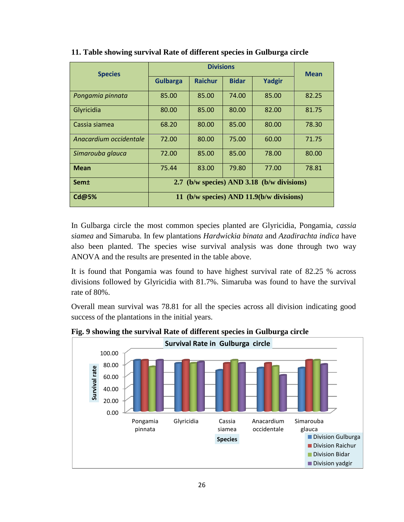| <b>Species</b>         |                                            | <b>Mean</b>    |              |        |       |
|------------------------|--------------------------------------------|----------------|--------------|--------|-------|
|                        | <b>Gulbarga</b>                            | <b>Raichur</b> | <b>Bidar</b> | Yadgir |       |
| Pongamia pinnata       | 85.00                                      | 85.00          | 74.00        | 85.00  | 82.25 |
| Glyricidia             | 80.00                                      | 85.00          | 80.00        | 82.00  | 81.75 |
| Cassia siamea          | 68.20                                      | 80.00          | 85.00        | 80.00  | 78.30 |
| Anacardium occidentale | 72.00                                      | 80.00          | 75.00        | 60.00  | 71.75 |
| Simarouba glauca       | 72.00                                      | 85.00          | 85.00        | 78.00  | 80.00 |
| <b>Mean</b>            | 75.44                                      | 83.00          | 79.80        | 77.00  | 78.81 |
| Sem±                   | 2.7 (b/w species) AND 3.18 (b/w divisions) |                |              |        |       |
| <b>Cd@5%</b>           | 11 (b/w species) AND 11.9(b/w divisions)   |                |              |        |       |

**11. Table showing survival Rate of different species in Gulburga circle**

In Gulbarga circle the most common species planted are Glyricidia, Pongamia, *cassia siamea* and Simaruba. In few plantations *Hardwickia binata* and *Azadirachta indica* have also been planted. The species wise survival analysis was done through two way ANOVA and the results are presented in the table above.

It is found that Pongamia was found to have highest survival rate of 82.25 % across divisions followed by Glyricidia with 81.7%. Simaruba was found to have the survival rate of 80%.

Overall mean survival was 78.81 for all the species across all division indicating good success of the plantations in the initial years.



**Fig. 9 showing the survival Rate of different species in Gulburga circle**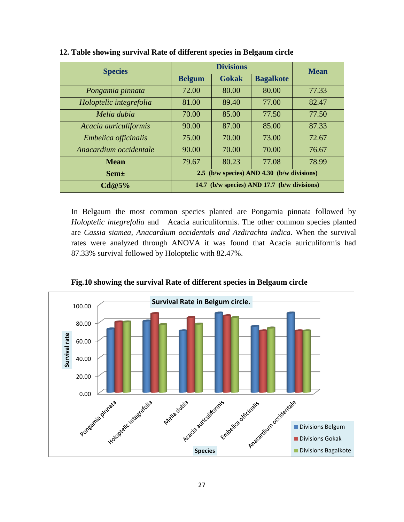| <b>Species</b>          |                                             | <b>Mean</b>  |                  |       |
|-------------------------|---------------------------------------------|--------------|------------------|-------|
|                         | <b>Belgum</b>                               | <b>Gokak</b> | <b>Bagalkote</b> |       |
| Pongamia pinnata        | 72.00                                       | 80.00        | 80.00            | 77.33 |
| Holoptelic integrefolia | 81.00                                       | 89.40        | 77.00            | 82.47 |
| Melia dubia             | 70.00                                       | 85.00        | 77.50            | 77.50 |
| Acacia auriculiformis   | 90.00                                       | 87.00        | 85.00            | 87.33 |
| Embelica officinalis    | 75.00                                       | 70.00        | 73.00            | 72.67 |
| Anacardium occidentale  | 90.00                                       | 70.00        | 70.00            | 76.67 |
| <b>Mean</b>             | 79.67                                       | 80.23        | 77.08            | 78.99 |
| $Sem\pm$                | 2.5 (b/w species) AND 4.30 (b/w divisions)  |              |                  |       |
| Cd@5%                   | 14.7 (b/w species) AND 17.7 (b/w divisions) |              |                  |       |

**12. Table showing survival Rate of different species in Belgaum circle**

In Belgaum the most common species planted are Pongamia pinnata followed by *Holoptelic integrefolia* and Acacia auriculiformis. The other common species planted are *Cassia siamea, Anacardium occidentals and Azdirachta indica*. When the survival rates were analyzed through ANOVA it was found that Acacia auriculiformis had 87.33% survival followed by Holoptelic with 82.47%.



**Fig.10 showing the survival Rate of different species in Belgaum circle**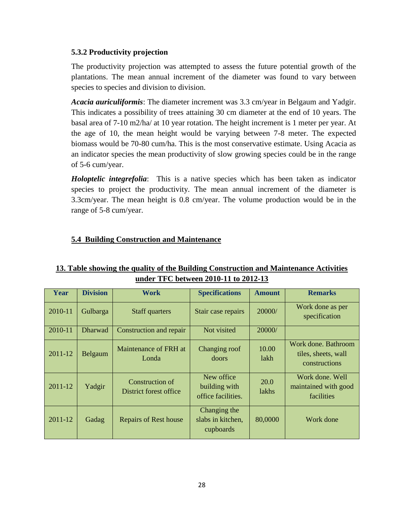### **5.3.2 Productivity projection**

The productivity projection was attempted to assess the future potential growth of the plantations. The mean annual increment of the diameter was found to vary between species to species and division to division.

*Acacia auriculiformis*: The diameter increment was 3.3 cm/year in Belgaum and Yadgir. This indicates a possibility of trees attaining 30 cm diameter at the end of 10 years. The basal area of 7-10 m2/ha/ at 10 year rotation. The height increment is 1 meter per year. At the age of 10, the mean height would be varying between 7-8 meter. The expected biomass would be 70-80 cum/ha. This is the most conservative estimate. Using Acacia as an indicator species the mean productivity of slow growing species could be in the range of 5-6 cum/year.

*Holoptelic integrefolia*: This is a native species which has been taken as indicator species to project the productivity. The mean annual increment of the diameter is 3.3cm/year. The mean height is 0.8 cm/year. The volume production would be in the range of 5-8 cum/year.

### **5.4 Building Construction and Maintenance**

### **13. Table showing the quality of the Building Construction and Maintenance Activities under TFC between 2010-11 to 2012-13**

| Year    | <b>Division</b> | Work                                      | <b>Specifications</b>                             | <b>Amount</b>        | <b>Remarks</b>                                              |
|---------|-----------------|-------------------------------------------|---------------------------------------------------|----------------------|-------------------------------------------------------------|
| 2010-11 | Gulbarga        | <b>Staff quarters</b>                     | Stair case repairs                                | 20000/               | Work done as per<br>specification                           |
| 2010-11 | <b>Dharwad</b>  | Construction and repair                   | Not visited                                       | 20000/               |                                                             |
| 2011-12 | Belgaum         | Maintenance of FRH at<br>Londa            | Changing roof<br>doors                            | 10.00<br>lakh        | Work done. Bathroom<br>tiles, sheets, wall<br>constructions |
| 2011-12 | Yadgir          | Construction of<br>District forest office | New office<br>building with<br>office facilities. | 20.0<br><i>lakhs</i> | Work done, Well<br>maintained with good<br>facilities       |
| 2011-12 | Gadag           | <b>Repairs of Rest house</b>              | Changing the<br>slabs in kitchen,<br>cupboards    | 80,0000              | Work done                                                   |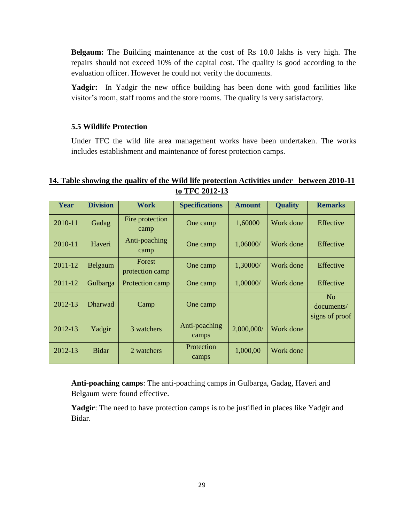**Belgaum:** The Building maintenance at the cost of Rs 10.0 lakhs is very high. The repairs should not exceed 10% of the capital cost. The quality is good according to the evaluation officer. However he could not verify the documents.

Yadgir: In Yadgir the new office building has been done with good facilities like visitor's room, staff rooms and the store rooms. The quality is very satisfactory.

### **5.5 Wildlife Protection**

Under TFC the wild life area management works have been undertaken. The works includes establishment and maintenance of forest protection camps.

### **14. Table showing the quality of the Wild life protection Activities under between 2010-11 to TFC 2012-13**

| Year    | <b>Division</b> | <b>Work</b>               | <b>Specifications</b>  | <b>Amount</b> | <b>Quality</b> | <b>Remarks</b>                                 |
|---------|-----------------|---------------------------|------------------------|---------------|----------------|------------------------------------------------|
| 2010-11 | Gadag           | Fire protection<br>camp   | One camp               | 1,60000       | Work done      | Effective                                      |
| 2010-11 | Haveri          | Anti-poaching<br>camp     | One camp               | 1,06000/      | Work done      | Effective                                      |
| 2011-12 | Belgaum         | Forest<br>protection camp | One camp               | 1,30000/      | Work done      | Effective                                      |
| 2011-12 | Gulbarga        | Protection camp           | One camp               | 1,00000/      | Work done      | Effective                                      |
| 2012-13 | <b>Dharwad</b>  | Camp                      | One camp               |               |                | N <sub>o</sub><br>documents/<br>signs of proof |
| 2012-13 | Yadgir          | 3 watchers                | Anti-poaching<br>camps | 2,000,000/    | Work done      |                                                |
| 2012-13 | <b>Bidar</b>    | 2 watchers                | Protection<br>camps    | 1,000,00      | Work done      |                                                |

**Anti-poaching camps**: The anti-poaching camps in Gulbarga, Gadag, Haveri and Belgaum were found effective.

**Yadgir**: The need to have protection camps is to be justified in places like Yadgir and Bidar.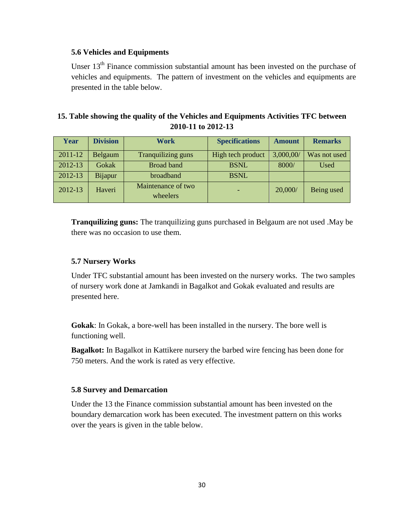### **5.6 Vehicles and Equipments**

Unser 13<sup>th</sup> Finance commission substantial amount has been invested on the purchase of vehicles and equipments. The pattern of investment on the vehicles and equipments are presented in the table below.

### **15. Table showing the quality of the Vehicles and Equipments Activities TFC between 2010-11 to 2012-13**

| Year    | <b>Division</b> | <b>Work</b>                    | <b>Specifications</b> | <b>Amount</b> | <b>Remarks</b> |
|---------|-----------------|--------------------------------|-----------------------|---------------|----------------|
| 2011-12 | Belgaum         | Tranquilizing guns             | High tech product     | 3,000,00/     | Was not used   |
| 2012-13 | Gokak           | <b>Broad band</b>              | <b>BSNL</b>           | 8000/         | Used           |
| 2012-13 | Bijapur         | broadband                      | <b>BSNL</b>           |               |                |
| 2012-13 | Haveri          | Maintenance of two<br>wheelers |                       | 20,000/       | Being used     |

**Tranquilizing guns:** The tranquilizing guns purchased in Belgaum are not used .May be there was no occasion to use them.

### **5.7 Nursery Works**

Under TFC substantial amount has been invested on the nursery works. The two samples of nursery work done at Jamkandi in Bagalkot and Gokak evaluated and results are presented here.

**Gokak**: In Gokak, a bore-well has been installed in the nursery. The bore well is functioning well.

**Bagalkot:** In Bagalkot in Kattikere nursery the barbed wire fencing has been done for 750 meters. And the work is rated as very effective.

### **5.8 Survey and Demarcation**

Under the 13 the Finance commission substantial amount has been invested on the boundary demarcation work has been executed. The investment pattern on this works over the years is given in the table below.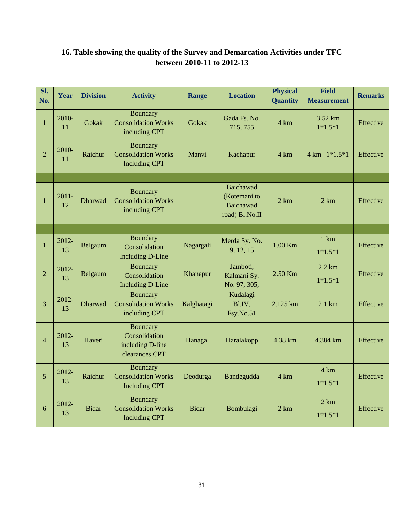| SI.<br>No.     | Year           | <b>Division</b> | <b>Activity</b>                                                        | <b>Range</b> | <b>Location</b>                                                        | <b>Physical</b><br><b>Quantity</b> | Field<br><b>Measurement</b>    | <b>Remarks</b> |
|----------------|----------------|-----------------|------------------------------------------------------------------------|--------------|------------------------------------------------------------------------|------------------------------------|--------------------------------|----------------|
| $\mathbf{1}$   | $2010-$<br>11  | Gokak           | <b>Boundary</b><br><b>Consolidation Works</b><br>including CPT         | Gokak        | Gada Fs. No.<br>715, 755                                               | 4 km                               | $3.52 \text{ km}$<br>$1*1.5*1$ | Effective      |
| $\overline{2}$ | 2010-<br>11    | Raichur         | Boundary<br><b>Consolidation Works</b><br><b>Including CPT</b>         | Manvi        | Kachapur                                                               | $4 \text{ km}$                     | 4 km 1*1.5*1                   | Effective      |
|                |                |                 |                                                                        |              |                                                                        |                                    |                                |                |
| $\mathbf{1}$   | $2011 -$<br>12 | Dharwad         | Boundary<br><b>Consolidation Works</b><br>including CPT                |              | <b>Baichawad</b><br>(Kotemani to<br><b>Baichawad</b><br>road) Bl.No.II | 2 km                               | 2 km                           | Effective      |
|                |                |                 |                                                                        |              |                                                                        |                                    |                                |                |
| $\mathbf{1}$   | 2012-<br>13    | Belgaum         | <b>Boundary</b><br>Consolidation<br><b>Including D-Line</b>            | Nagargali    | Merda Sy. No.<br>9, 12, 15                                             | 1.00 Km                            | $1 \text{ km}$<br>$1*1.5*1$    | Effective      |
| $\overline{2}$ | $2012 -$<br>13 | Belgaum         | <b>Boundary</b><br>Consolidation<br><b>Including D-Line</b>            | Khanapur     | Jamboti,<br>Kalmani Sy.<br>No. 97, 305,                                | 2.50 Km                            | $2.2 \text{ km}$<br>$1*1.5*1$  | Effective      |
| $\overline{3}$ | 2012-<br>13    | <b>Dharwad</b>  | Boundary<br><b>Consolidation Works</b><br>including CPT                | Kalghatagi   | Kudalagi<br>Bl.IV,<br>Fsy.No.51                                        | 2.125 km                           | $2.1 \text{ km}$               | Effective      |
| $\overline{4}$ | 2012-<br>13    | Haveri          | <b>Boundary</b><br>Consolidation<br>including D-line<br>clearances CPT | Hanagal      | Haralakopp                                                             | 4.38 km                            | 4.384 km                       | Effective      |
| 5              | 2012-<br>13    | Raichur         | <b>Boundary</b><br><b>Consolidation Works</b><br><b>Including CPT</b>  | Deodurga     | Bandegudda                                                             | $4 \text{ km}$                     | 4 km<br>$1*1.5*1$              | Effective      |
| 6              | 2012-<br>13    | <b>Bidar</b>    | <b>Boundary</b><br><b>Consolidation Works</b><br><b>Including CPT</b>  | <b>Bidar</b> | Bombulagi                                                              | 2 km                               | 2 km<br>$1*1.5*1$              | Effective      |

## **16. Table showing the quality of the Survey and Demarcation Activities under TFC between 2010-11 to 2012-13**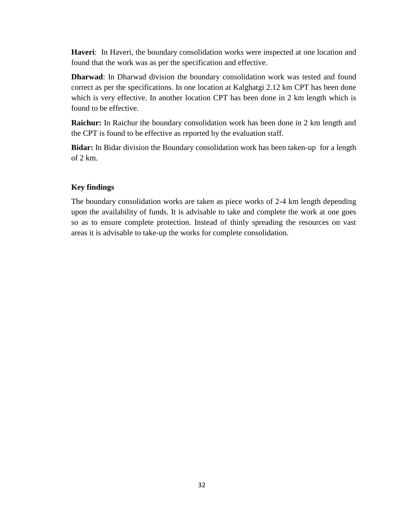**Haveri**: In Haveri, the boundary consolidation works were inspected at one location and found that the work was as per the specification and effective.

**Dharwad**: In Dharwad division the boundary consolidation work was tested and found correct as per the specifications. In one location at Kalghatgi 2.12 km CPT has been done which is very effective. In another location CPT has been done in 2 km length which is found to be effective.

**Raichur:** In Raichur the boundary consolidation work has been done in 2 km length and the CPT is found to be effective as reported by the evaluation staff.

**Bidar:** In Bidar division the Boundary consolidation work has been taken-up for a length of 2 km.

### **Key findings**

The boundary consolidation works are taken as piece works of 2-4 km length depending upon the availability of funds. It is advisable to take and complete the work at one goes so as to ensure complete protection. Instead of thinly spreading the resources on vast areas it is advisable to take-up the works for complete consolidation.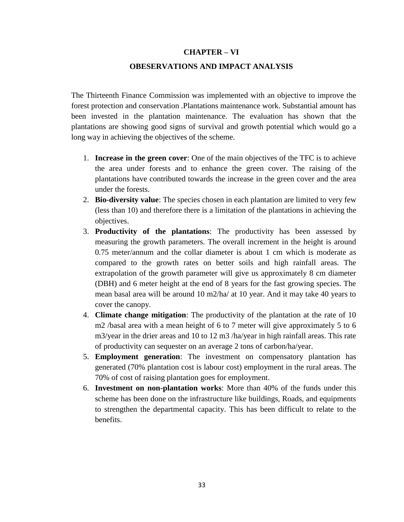### **CHAPTER – VI**

#### **OBESERVATIONS AND IMPACT ANALYSIS**

The Thirteenth Finance Commission was implemented with an objective to improve the forest protection and conservation .Plantations maintenance work. Substantial amount has been invested in the plantation maintenance. The evaluation has shown that the plantations are showing good signs of survival and growth potential which would go a long way in achieving the objectives of the scheme.

- 1. **Increase in the green cover**: One of the main objectives of the TFC is to achieve the area under forests and to enhance the green cover. The raising of the plantations have contributed towards the increase in the green cover and the area under the forests.
- 2. **Bio-diversity value**: The species chosen in each plantation are limited to very few (less than 10) and therefore there is a limitation of the plantations in achieving the objectives.
- 3. **Productivity of the plantations**: The productivity has been assessed by measuring the growth parameters. The overall increment in the height is around 0.75 meter/annum and the collar diameter is about 1 cm which is moderate as compared to the growth rates on better soils and high rainfall areas. The extrapolation of the growth parameter will give us approximately 8 cm diameter (DBH) and 6 meter height at the end of 8 years for the fast growing species. The mean basal area will be around 10 m2/ha/ at 10 year. And it may take 40 years to cover the canopy.
- 4. **Climate change mitigation**: The productivity of the plantation at the rate of 10 m2 /basal area with a mean height of 6 to 7 meter will give approximately 5 to 6 m3/year in the drier areas and 10 to 12 m3 /ha/year in high rainfall areas. This rate of productivity can sequester on an average 2 tons of carbon/ha/year.
- 5. **Employment generation**: The investment on compensatory plantation has generated (70% plantation cost is labour cost) employment in the rural areas. The 70% of cost of raising plantation goes for employment.
- 6. **Investment on non-plantation works**: More than 40% of the funds under this scheme has been done on the infrastructure like buildings, Roads, and equipments to strengthen the departmental capacity. This has been difficult to relate to the benefits.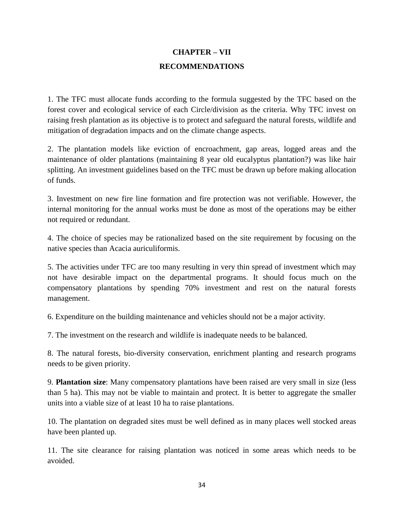## **CHAPTER – VII RECOMMENDATIONS**

1. The TFC must allocate funds according to the formula suggested by the TFC based on the forest cover and ecological service of each Circle/division as the criteria. Why TFC invest on raising fresh plantation as its objective is to protect and safeguard the natural forests, wildlife and mitigation of degradation impacts and on the climate change aspects.

2. The plantation models like eviction of encroachment, gap areas, logged areas and the maintenance of older plantations (maintaining 8 year old eucalyptus plantation?) was like hair splitting. An investment guidelines based on the TFC must be drawn up before making allocation of funds.

3. Investment on new fire line formation and fire protection was not verifiable. However, the internal monitoring for the annual works must be done as most of the operations may be either not required or redundant.

4. The choice of species may be rationalized based on the site requirement by focusing on the native species than Acacia auriculiformis.

5. The activities under TFC are too many resulting in very thin spread of investment which may not have desirable impact on the departmental programs. It should focus much on the compensatory plantations by spending 70% investment and rest on the natural forests management.

6. Expenditure on the building maintenance and vehicles should not be a major activity.

7. The investment on the research and wildlife is inadequate needs to be balanced.

8. The natural forests, bio-diversity conservation, enrichment planting and research programs needs to be given priority.

9. **Plantation size**: Many compensatory plantations have been raised are very small in size (less than 5 ha). This may not be viable to maintain and protect. It is better to aggregate the smaller units into a viable size of at least 10 ha to raise plantations.

10. The plantation on degraded sites must be well defined as in many places well stocked areas have been planted up.

11. The site clearance for raising plantation was noticed in some areas which needs to be avoided.